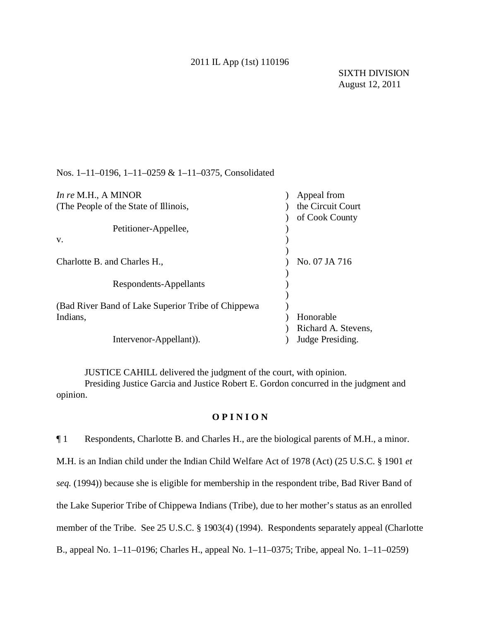## 2011 IL App (1st) 110196

Nos. 1–11–0196, 1–11–0259 & 1–11–0375, Consolidated

| In re M.H., A MINOR                                | Appeal from         |
|----------------------------------------------------|---------------------|
| (The People of the State of Illinois,              | the Circuit Court   |
|                                                    | of Cook County      |
| Petitioner-Appellee,                               |                     |
| V.                                                 |                     |
|                                                    |                     |
| Charlotte B. and Charles H.,                       | No. 07 JA 716       |
|                                                    |                     |
| Respondents-Appellants                             |                     |
|                                                    |                     |
| (Bad River Band of Lake Superior Tribe of Chippewa |                     |
| Indians,                                           | Honorable           |
|                                                    | Richard A. Stevens, |
| Intervenor-Appellant).                             | Judge Presiding.    |
|                                                    |                     |

JUSTICE CAHILL delivered the judgment of the court, with opinion. Presiding Justice Garcia and Justice Robert E. Gordon concurred in the judgment and opinion.

## **O P I N I O N**

¶ 1 Respondents, Charlotte B. and Charles H., are the biological parents of M.H., a minor. M.H. is an Indian child under the Indian Child Welfare Act of 1978 (Act) (25 U.S.C. § 1901 *et seq.* (1994)) because she is eligible for membership in the respondent tribe, Bad River Band of the Lake Superior Tribe of Chippewa Indians (Tribe), due to her mother's status as an enrolled member of the Tribe. See 25 U.S.C. § 1903(4) (1994). Respondents separately appeal (Charlotte B., appeal No. 1–11–0196; Charles H., appeal No. 1–11–0375; Tribe, appeal No. 1–11–0259)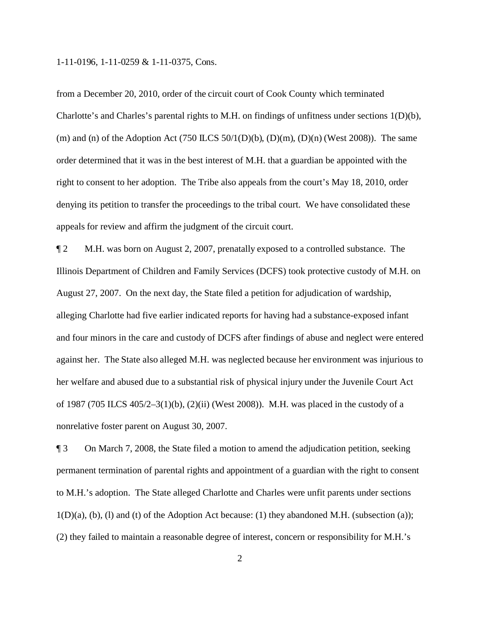from a December 20, 2010, order of the circuit court of Cook County which terminated Charlotte's and Charles's parental rights to M.H. on findings of unfitness under sections 1(D)(b), (m) and (n) of the Adoption Act (750 ILCS 50/1(D)(b), (D)(m), (D)(n) (West 2008)). The same order determined that it was in the best interest of M.H. that a guardian be appointed with the right to consent to her adoption. The Tribe also appeals from the court's May 18, 2010, order denying its petition to transfer the proceedings to the tribal court. We have consolidated these appeals for review and affirm the judgment of the circuit court.

¶ 2 M.H. was born on August 2, 2007, prenatally exposed to a controlled substance. The Illinois Department of Children and Family Services (DCFS) took protective custody of M.H. on August 27, 2007. On the next day, the State filed a petition for adjudication of wardship, alleging Charlotte had five earlier indicated reports for having had a substance-exposed infant and four minors in the care and custody of DCFS after findings of abuse and neglect were entered against her. The State also alleged M.H. was neglected because her environment was injurious to her welfare and abused due to a substantial risk of physical injury under the Juvenile Court Act of 1987 (705 ILCS 405/2–3(1)(b), (2)(ii) (West 2008)). M.H. was placed in the custody of a nonrelative foster parent on August 30, 2007.

¶ 3 On March 7, 2008, the State filed a motion to amend the adjudication petition, seeking permanent termination of parental rights and appointment of a guardian with the right to consent to M.H.'s adoption. The State alleged Charlotte and Charles were unfit parents under sections  $1(D)(a)$ ,  $(b)$ ,  $(l)$  and  $(t)$  of the Adoption Act because:  $(1)$  they abandoned M.H. (subsection  $(a)$ ); (2) they failed to maintain a reasonable degree of interest, concern or responsibility for M.H.'s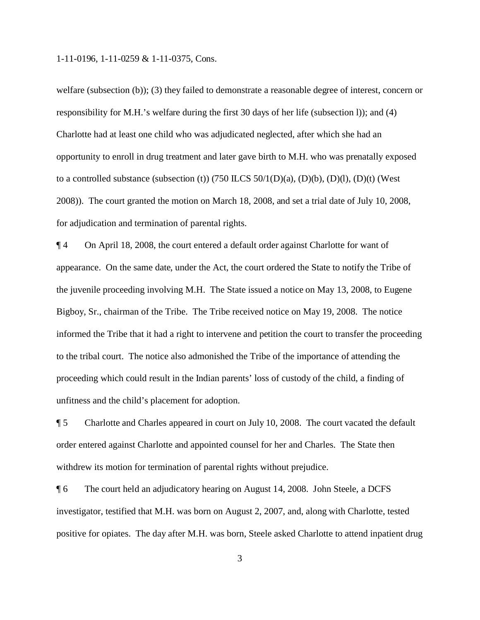welfare (subsection (b)); (3) they failed to demonstrate a reasonable degree of interest, concern or responsibility for M.H.'s welfare during the first 30 days of her life (subsection l)); and (4) Charlotte had at least one child who was adjudicated neglected, after which she had an opportunity to enroll in drug treatment and later gave birth to M.H. who was prenatally exposed to a controlled substance (subsection (t)) (750 ILCS  $50/1(D)(a)$ ,  $(D)(b)$ ,  $(D)(1)$ ,  $(D)(t)$  (West 2008)). The court granted the motion on March 18, 2008, and set a trial date of July 10, 2008, for adjudication and termination of parental rights.

¶ 4 On April 18, 2008, the court entered a default order against Charlotte for want of appearance. On the same date, under the Act, the court ordered the State to notify the Tribe of the juvenile proceeding involving M.H. The State issued a notice on May 13, 2008, to Eugene Bigboy, Sr., chairman of the Tribe. The Tribe received notice on May 19, 2008. The notice informed the Tribe that it had a right to intervene and petition the court to transfer the proceeding to the tribal court. The notice also admonished the Tribe of the importance of attending the proceeding which could result in the Indian parents' loss of custody of the child, a finding of unfitness and the child's placement for adoption.

¶ 5 Charlotte and Charles appeared in court on July 10, 2008. The court vacated the default order entered against Charlotte and appointed counsel for her and Charles. The State then withdrew its motion for termination of parental rights without prejudice.

¶ 6 The court held an adjudicatory hearing on August 14, 2008. John Steele, a DCFS investigator, testified that M.H. was born on August 2, 2007, and, along with Charlotte, tested positive for opiates. The day after M.H. was born, Steele asked Charlotte to attend inpatient drug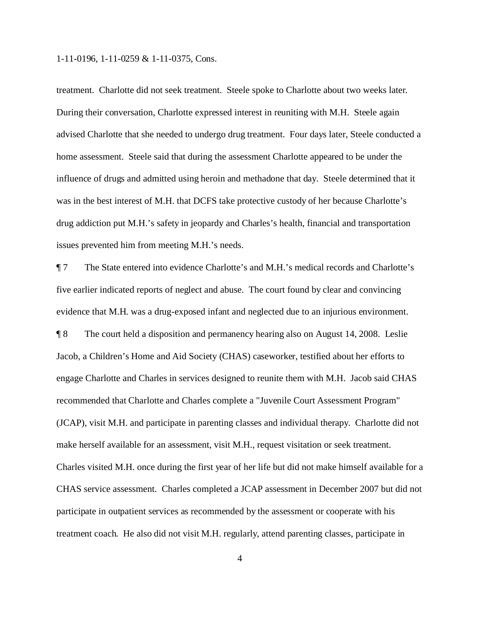treatment. Charlotte did not seek treatment. Steele spoke to Charlotte about two weeks later. During their conversation, Charlotte expressed interest in reuniting with M.H. Steele again advised Charlotte that she needed to undergo drug treatment. Four days later, Steele conducted a home assessment. Steele said that during the assessment Charlotte appeared to be under the influence of drugs and admitted using heroin and methadone that day. Steele determined that it was in the best interest of M.H. that DCFS take protective custody of her because Charlotte's drug addiction put M.H.'s safety in jeopardy and Charles's health, financial and transportation issues prevented him from meeting M.H.'s needs.

¶ 7 The State entered into evidence Charlotte's and M.H.'s medical records and Charlotte's five earlier indicated reports of neglect and abuse. The court found by clear and convincing evidence that M.H. was a drug-exposed infant and neglected due to an injurious environment. ¶ 8 The court held a disposition and permanency hearing also on August 14, 2008. Leslie Jacob, a Children's Home and Aid Society (CHAS) caseworker, testified about her efforts to engage Charlotte and Charles in services designed to reunite them with M.H. Jacob said CHAS recommended that Charlotte and Charles complete a "Juvenile Court Assessment Program" (JCAP), visit M.H. and participate in parenting classes and individual therapy. Charlotte did not make herself available for an assessment, visit M.H., request visitation or seek treatment. Charles visited M.H. once during the first year of her life but did not make himself available for a CHAS service assessment. Charles completed a JCAP assessment in December 2007 but did not participate in outpatient services as recommended by the assessment or cooperate with his treatment coach. He also did not visit M.H. regularly, attend parenting classes, participate in

4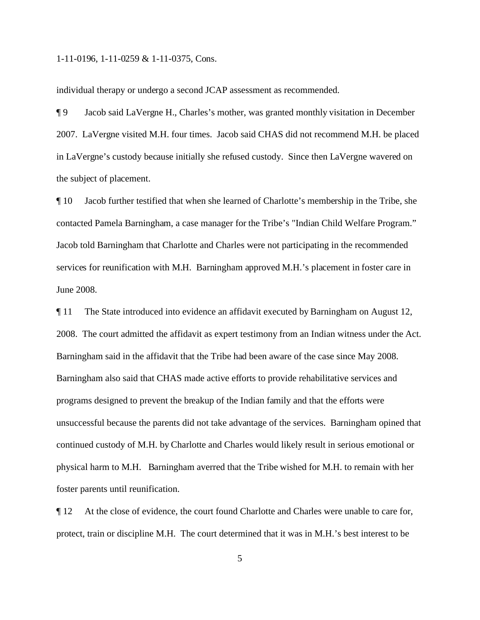individual therapy or undergo a second JCAP assessment as recommended.

¶ 9 Jacob said LaVergne H., Charles's mother, was granted monthly visitation in December 2007. LaVergne visited M.H. four times. Jacob said CHAS did not recommend M.H. be placed in LaVergne's custody because initially she refused custody. Since then LaVergne wavered on the subject of placement.

¶ 10 Jacob further testified that when she learned of Charlotte's membership in the Tribe, she contacted Pamela Barningham, a case manager for the Tribe's "Indian Child Welfare Program." Jacob told Barningham that Charlotte and Charles were not participating in the recommended services for reunification with M.H. Barningham approved M.H.'s placement in foster care in June 2008.

¶ 11 The State introduced into evidence an affidavit executed by Barningham on August 12, 2008. The court admitted the affidavit as expert testimony from an Indian witness under the Act. Barningham said in the affidavit that the Tribe had been aware of the case since May 2008. Barningham also said that CHAS made active efforts to provide rehabilitative services and programs designed to prevent the breakup of the Indian family and that the efforts were unsuccessful because the parents did not take advantage of the services. Barningham opined that continued custody of M.H. by Charlotte and Charles would likely result in serious emotional or physical harm to M.H. Barningham averred that the Tribe wished for M.H. to remain with her foster parents until reunification.

¶ 12 At the close of evidence, the court found Charlotte and Charles were unable to care for, protect, train or discipline M.H. The court determined that it was in M.H.'s best interest to be

5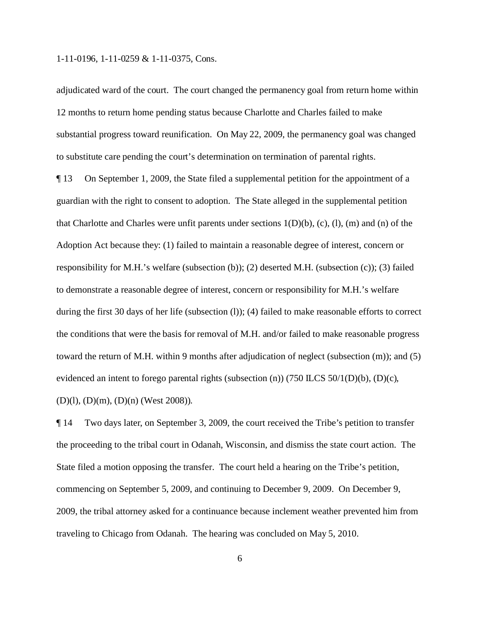adjudicated ward of the court. The court changed the permanency goal from return home within 12 months to return home pending status because Charlotte and Charles failed to make substantial progress toward reunification. On May 22, 2009, the permanency goal was changed to substitute care pending the court's determination on termination of parental rights.

¶ 13 On September 1, 2009, the State filed a supplemental petition for the appointment of a guardian with the right to consent to adoption. The State alleged in the supplemental petition that Charlotte and Charles were unfit parents under sections  $1(D)(b)$ , (c), (l), (m) and (n) of the Adoption Act because they: (1) failed to maintain a reasonable degree of interest, concern or responsibility for M.H.'s welfare (subsection (b)); (2) deserted M.H. (subsection (c)); (3) failed to demonstrate a reasonable degree of interest, concern or responsibility for M.H.'s welfare during the first 30 days of her life (subsection (l)); (4) failed to make reasonable efforts to correct the conditions that were the basis for removal of M.H. and/or failed to make reasonable progress toward the return of M.H. within 9 months after adjudication of neglect (subsection (m)); and (5) evidenced an intent to forego parental rights (subsection (n)) (750 ILCS 50/1(D)(b), (D)(c), (D)(l), (D)(m), (D)(n) (West 2008)).

¶ 14 Two days later, on September 3, 2009, the court received the Tribe's petition to transfer the proceeding to the tribal court in Odanah, Wisconsin, and dismiss the state court action. The State filed a motion opposing the transfer. The court held a hearing on the Tribe's petition, commencing on September 5, 2009, and continuing to December 9, 2009. On December 9, 2009, the tribal attorney asked for a continuance because inclement weather prevented him from traveling to Chicago from Odanah. The hearing was concluded on May 5, 2010.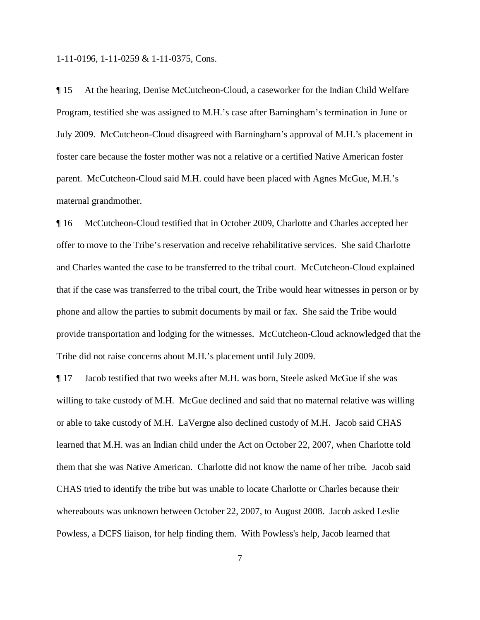¶ 15 At the hearing, Denise McCutcheon-Cloud, a caseworker for the Indian Child Welfare Program, testified she was assigned to M.H.'s case after Barningham's termination in June or July 2009. McCutcheon-Cloud disagreed with Barningham's approval of M.H.'s placement in foster care because the foster mother was not a relative or a certified Native American foster parent. McCutcheon-Cloud said M.H. could have been placed with Agnes McGue, M.H.'s maternal grandmother.

¶ 16 McCutcheon-Cloud testified that in October 2009, Charlotte and Charles accepted her offer to move to the Tribe's reservation and receive rehabilitative services. She said Charlotte and Charles wanted the case to be transferred to the tribal court. McCutcheon-Cloud explained that if the case was transferred to the tribal court, the Tribe would hear witnesses in person or by phone and allow the parties to submit documents by mail or fax. She said the Tribe would provide transportation and lodging for the witnesses. McCutcheon-Cloud acknowledged that the Tribe did not raise concerns about M.H.'s placement until July 2009.

¶ 17 Jacob testified that two weeks after M.H. was born, Steele asked McGue if she was willing to take custody of M.H. McGue declined and said that no maternal relative was willing or able to take custody of M.H. LaVergne also declined custody of M.H. Jacob said CHAS learned that M.H. was an Indian child under the Act on October 22, 2007, when Charlotte told them that she was Native American. Charlotte did not know the name of her tribe. Jacob said CHAS tried to identify the tribe but was unable to locate Charlotte or Charles because their whereabouts was unknown between October 22, 2007, to August 2008. Jacob asked Leslie Powless, a DCFS liaison, for help finding them. With Powless's help, Jacob learned that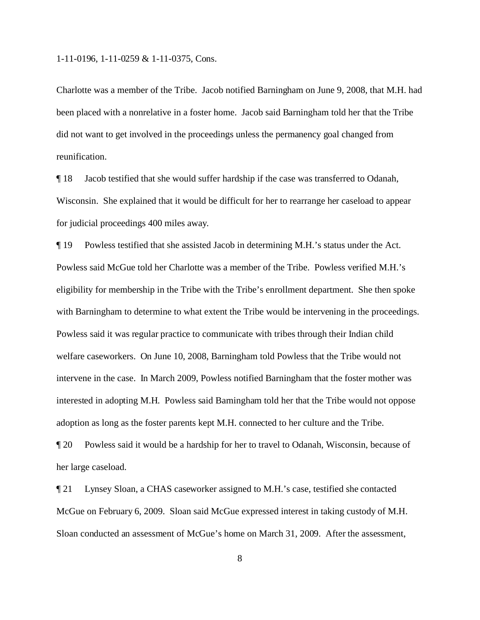Charlotte was a member of the Tribe. Jacob notified Barningham on June 9, 2008, that M.H. had been placed with a nonrelative in a foster home. Jacob said Barningham told her that the Tribe did not want to get involved in the proceedings unless the permanency goal changed from reunification.

¶ 18 Jacob testified that she would suffer hardship if the case was transferred to Odanah, Wisconsin. She explained that it would be difficult for her to rearrange her caseload to appear for judicial proceedings 400 miles away.

¶ 19 Powless testified that she assisted Jacob in determining M.H.'s status under the Act. Powless said McGue told her Charlotte was a member of the Tribe. Powless verified M.H.'s eligibility for membership in the Tribe with the Tribe's enrollment department. She then spoke with Barningham to determine to what extent the Tribe would be intervening in the proceedings. Powless said it was regular practice to communicate with tribes through their Indian child welfare caseworkers. On June 10, 2008, Barningham told Powless that the Tribe would not intervene in the case. In March 2009, Powless notified Barningham that the foster mother was interested in adopting M.H. Powless said Barningham told her that the Tribe would not oppose adoption as long as the foster parents kept M.H. connected to her culture and the Tribe.

¶ 20 Powless said it would be a hardship for her to travel to Odanah, Wisconsin, because of her large caseload.

¶ 21 Lynsey Sloan, a CHAS caseworker assigned to M.H.'s case, testified she contacted McGue on February 6, 2009. Sloan said McGue expressed interest in taking custody of M.H. Sloan conducted an assessment of McGue's home on March 31, 2009. After the assessment,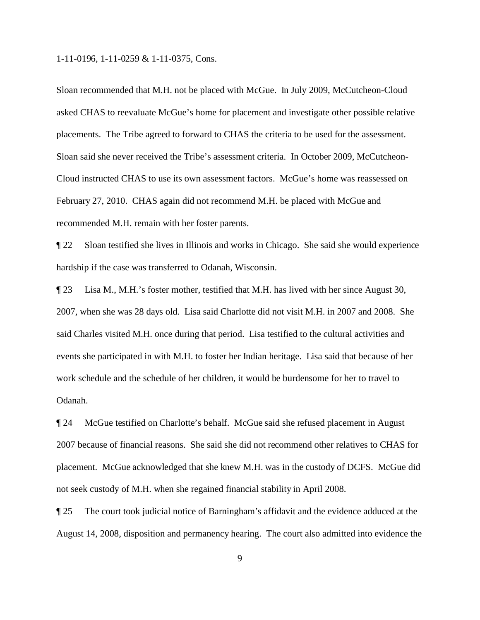Sloan recommended that M.H. not be placed with McGue. In July 2009, McCutcheon-Cloud asked CHAS to reevaluate McGue's home for placement and investigate other possible relative placements. The Tribe agreed to forward to CHAS the criteria to be used for the assessment. Sloan said she never received the Tribe's assessment criteria. In October 2009, McCutcheon-Cloud instructed CHAS to use its own assessment factors. McGue's home was reassessed on February 27, 2010. CHAS again did not recommend M.H. be placed with McGue and recommended M.H. remain with her foster parents.

¶ 22 Sloan testified she lives in Illinois and works in Chicago. She said she would experience hardship if the case was transferred to Odanah, Wisconsin.

¶ 23 Lisa M., M.H.'s foster mother, testified that M.H. has lived with her since August 30, 2007, when she was 28 days old. Lisa said Charlotte did not visit M.H. in 2007 and 2008. She said Charles visited M.H. once during that period. Lisa testified to the cultural activities and events she participated in with M.H. to foster her Indian heritage. Lisa said that because of her work schedule and the schedule of her children, it would be burdensome for her to travel to Odanah.

¶ 24 McGue testified on Charlotte's behalf. McGue said she refused placement in August 2007 because of financial reasons. She said she did not recommend other relatives to CHAS for placement. McGue acknowledged that she knew M.H. was in the custody of DCFS. McGue did not seek custody of M.H. when she regained financial stability in April 2008.

¶ 25 The court took judicial notice of Barningham's affidavit and the evidence adduced at the August 14, 2008, disposition and permanency hearing. The court also admitted into evidence the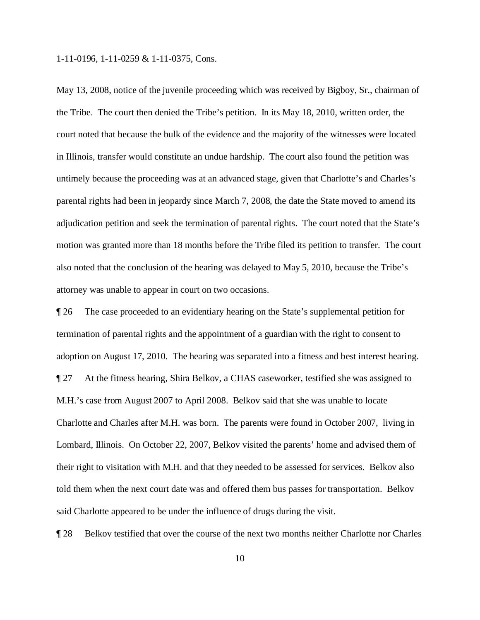May 13, 2008, notice of the juvenile proceeding which was received by Bigboy, Sr., chairman of the Tribe. The court then denied the Tribe's petition. In its May 18, 2010, written order, the court noted that because the bulk of the evidence and the majority of the witnesses were located in Illinois, transfer would constitute an undue hardship. The court also found the petition was untimely because the proceeding was at an advanced stage, given that Charlotte's and Charles's parental rights had been in jeopardy since March 7, 2008, the date the State moved to amend its adjudication petition and seek the termination of parental rights. The court noted that the State's motion was granted more than 18 months before the Tribe filed its petition to transfer. The court also noted that the conclusion of the hearing was delayed to May 5, 2010, because the Tribe's attorney was unable to appear in court on two occasions.

¶ 26 The case proceeded to an evidentiary hearing on the State's supplemental petition for termination of parental rights and the appointment of a guardian with the right to consent to adoption on August 17, 2010. The hearing was separated into a fitness and best interest hearing. ¶ 27 At the fitness hearing, Shira Belkov, a CHAS caseworker, testified she was assigned to M.H.'s case from August 2007 to April 2008. Belkov said that she was unable to locate Charlotte and Charles after M.H. was born. The parents were found in October 2007, living in Lombard, Illinois. On October 22, 2007, Belkov visited the parents' home and advised them of their right to visitation with M.H. and that they needed to be assessed for services. Belkov also told them when the next court date was and offered them bus passes for transportation. Belkov said Charlotte appeared to be under the influence of drugs during the visit.

¶ 28 Belkov testified that over the course of the next two months neither Charlotte nor Charles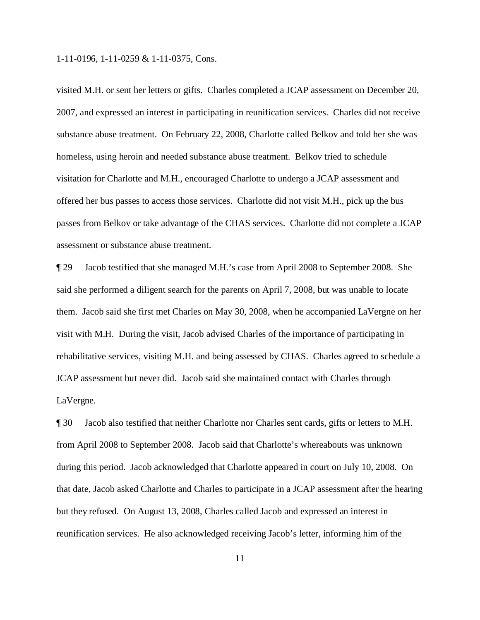visited M.H. or sent her letters or gifts. Charles completed a JCAP assessment on December 20, 2007, and expressed an interest in participating in reunification services. Charles did not receive substance abuse treatment. On February 22, 2008, Charlotte called Belkov and told her she was homeless, using heroin and needed substance abuse treatment. Belkov tried to schedule visitation for Charlotte and M.H., encouraged Charlotte to undergo a JCAP assessment and offered her bus passes to access those services. Charlotte did not visit M.H., pick up the bus passes from Belkov or take advantage of the CHAS services. Charlotte did not complete a JCAP assessment or substance abuse treatment.

¶ 29 Jacob testified that she managed M.H.'s case from April 2008 to September 2008. She said she performed a diligent search for the parents on April 7, 2008, but was unable to locate them. Jacob said she first met Charles on May 30, 2008, when he accompanied LaVergne on her visit with M.H. During the visit, Jacob advised Charles of the importance of participating in rehabilitative services, visiting M.H. and being assessed by CHAS. Charles agreed to schedule a JCAP assessment but never did. Jacob said she maintained contact with Charles through LaVergne.

¶ 30 Jacob also testified that neither Charlotte nor Charles sent cards, gifts or letters to M.H. from April 2008 to September 2008. Jacob said that Charlotte's whereabouts was unknown during this period. Jacob acknowledged that Charlotte appeared in court on July 10, 2008. On that date, Jacob asked Charlotte and Charles to participate in a JCAP assessment after the hearing but they refused. On August 13, 2008, Charles called Jacob and expressed an interest in reunification services. He also acknowledged receiving Jacob's letter, informing him of the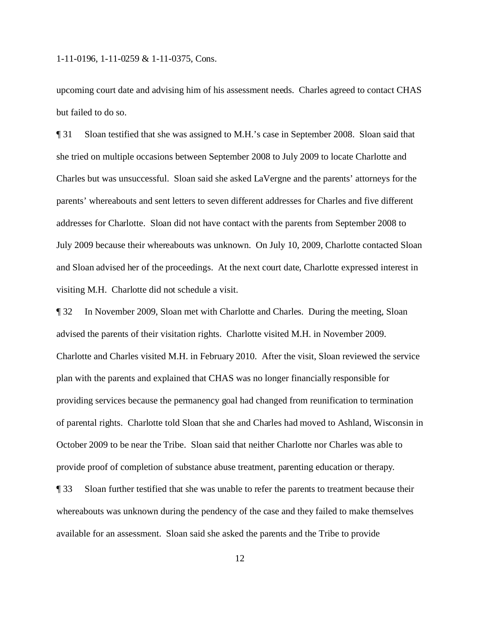upcoming court date and advising him of his assessment needs. Charles agreed to contact CHAS but failed to do so.

¶ 31 Sloan testified that she was assigned to M.H.'s case in September 2008. Sloan said that she tried on multiple occasions between September 2008 to July 2009 to locate Charlotte and Charles but was unsuccessful. Sloan said she asked LaVergne and the parents' attorneys for the parents' whereabouts and sent letters to seven different addresses for Charles and five different addresses for Charlotte. Sloan did not have contact with the parents from September 2008 to July 2009 because their whereabouts was unknown. On July 10, 2009, Charlotte contacted Sloan and Sloan advised her of the proceedings. At the next court date, Charlotte expressed interest in visiting M.H. Charlotte did not schedule a visit.

¶ 32 In November 2009, Sloan met with Charlotte and Charles. During the meeting, Sloan advised the parents of their visitation rights. Charlotte visited M.H. in November 2009. Charlotte and Charles visited M.H. in February 2010. After the visit, Sloan reviewed the service plan with the parents and explained that CHAS was no longer financially responsible for providing services because the permanency goal had changed from reunification to termination of parental rights. Charlotte told Sloan that she and Charles had moved to Ashland, Wisconsin in October 2009 to be near the Tribe. Sloan said that neither Charlotte nor Charles was able to provide proof of completion of substance abuse treatment, parenting education or therapy.

¶ 33 Sloan further testified that she was unable to refer the parents to treatment because their whereabouts was unknown during the pendency of the case and they failed to make themselves available for an assessment. Sloan said she asked the parents and the Tribe to provide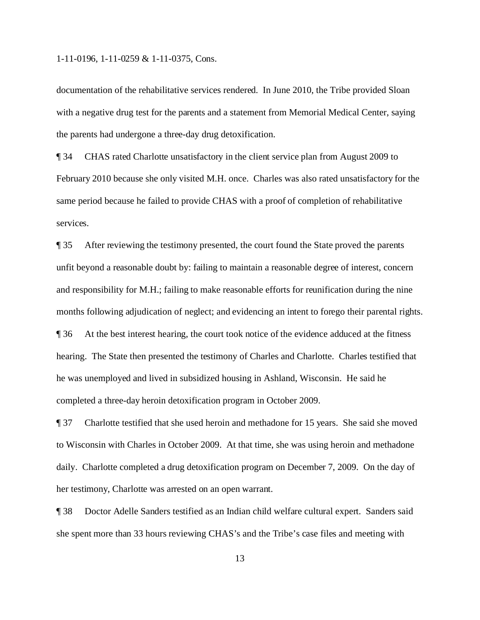documentation of the rehabilitative services rendered. In June 2010, the Tribe provided Sloan with a negative drug test for the parents and a statement from Memorial Medical Center, saying the parents had undergone a three-day drug detoxification.

¶ 34 CHAS rated Charlotte unsatisfactory in the client service plan from August 2009 to February 2010 because she only visited M.H. once. Charles was also rated unsatisfactory for the same period because he failed to provide CHAS with a proof of completion of rehabilitative services.

¶ 35 After reviewing the testimony presented, the court found the State proved the parents unfit beyond a reasonable doubt by: failing to maintain a reasonable degree of interest, concern and responsibility for M.H.; failing to make reasonable efforts for reunification during the nine months following adjudication of neglect; and evidencing an intent to forego their parental rights. ¶ 36 At the best interest hearing, the court took notice of the evidence adduced at the fitness hearing. The State then presented the testimony of Charles and Charlotte. Charles testified that he was unemployed and lived in subsidized housing in Ashland, Wisconsin. He said he completed a three-day heroin detoxification program in October 2009.

¶ 37 Charlotte testified that she used heroin and methadone for 15 years. She said she moved to Wisconsin with Charles in October 2009. At that time, she was using heroin and methadone daily. Charlotte completed a drug detoxification program on December 7, 2009. On the day of her testimony, Charlotte was arrested on an open warrant.

¶ 38 Doctor Adelle Sanders testified as an Indian child welfare cultural expert. Sanders said she spent more than 33 hours reviewing CHAS's and the Tribe's case files and meeting with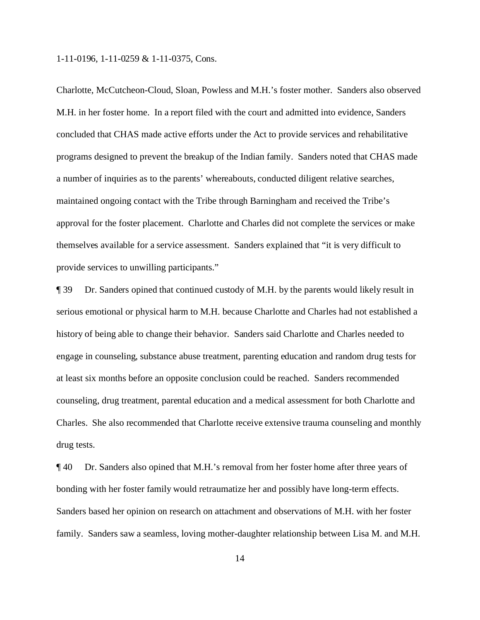Charlotte, McCutcheon-Cloud, Sloan, Powless and M.H.'s foster mother. Sanders also observed M.H. in her foster home. In a report filed with the court and admitted into evidence, Sanders concluded that CHAS made active efforts under the Act to provide services and rehabilitative programs designed to prevent the breakup of the Indian family. Sanders noted that CHAS made a number of inquiries as to the parents' whereabouts, conducted diligent relative searches, maintained ongoing contact with the Tribe through Barningham and received the Tribe's approval for the foster placement. Charlotte and Charles did not complete the services or make themselves available for a service assessment. Sanders explained that "it is very difficult to provide services to unwilling participants."

¶ 39 Dr. Sanders opined that continued custody of M.H. by the parents would likely result in serious emotional or physical harm to M.H. because Charlotte and Charles had not established a history of being able to change their behavior. Sanders said Charlotte and Charles needed to engage in counseling, substance abuse treatment, parenting education and random drug tests for at least six months before an opposite conclusion could be reached. Sanders recommended counseling, drug treatment, parental education and a medical assessment for both Charlotte and Charles. She also recommended that Charlotte receive extensive trauma counseling and monthly drug tests.

¶ 40 Dr. Sanders also opined that M.H.'s removal from her foster home after three years of bonding with her foster family would retraumatize her and possibly have long-term effects. Sanders based her opinion on research on attachment and observations of M.H. with her foster family. Sanders saw a seamless, loving mother-daughter relationship between Lisa M. and M.H.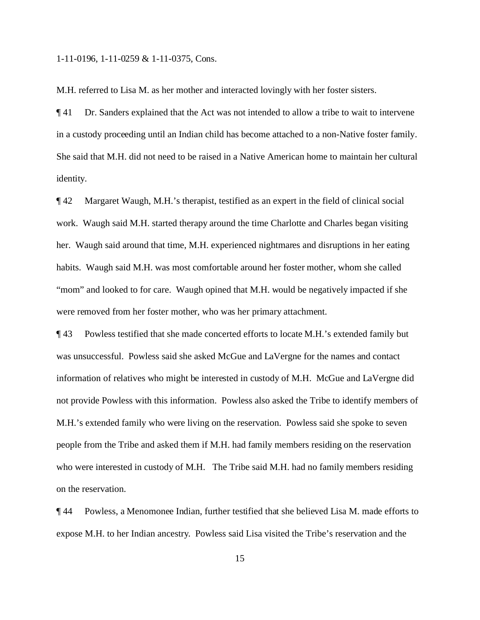M.H. referred to Lisa M. as her mother and interacted lovingly with her foster sisters.

¶ 41 Dr. Sanders explained that the Act was not intended to allow a tribe to wait to intervene in a custody proceeding until an Indian child has become attached to a non-Native foster family. She said that M.H. did not need to be raised in a Native American home to maintain her cultural identity.

¶ 42 Margaret Waugh, M.H.'s therapist, testified as an expert in the field of clinical social work. Waugh said M.H. started therapy around the time Charlotte and Charles began visiting her. Waugh said around that time, M.H. experienced nightmares and disruptions in her eating habits. Waugh said M.H. was most comfortable around her foster mother, whom she called "mom" and looked to for care. Waugh opined that M.H. would be negatively impacted if she were removed from her foster mother, who was her primary attachment.

¶ 43 Powless testified that she made concerted efforts to locate M.H.'s extended family but was unsuccessful. Powless said she asked McGue and LaVergne for the names and contact information of relatives who might be interested in custody of M.H. McGue and LaVergne did not provide Powless with this information. Powless also asked the Tribe to identify members of M.H.'s extended family who were living on the reservation. Powless said she spoke to seven people from the Tribe and asked them if M.H. had family members residing on the reservation who were interested in custody of M.H. The Tribe said M.H. had no family members residing on the reservation.

¶ 44 Powless, a Menomonee Indian, further testified that she believed Lisa M. made efforts to expose M.H. to her Indian ancestry. Powless said Lisa visited the Tribe's reservation and the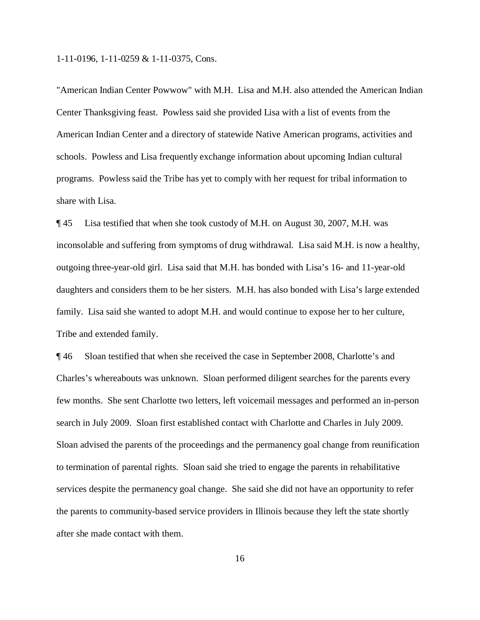"American Indian Center Powwow" with M.H. Lisa and M.H. also attended the American Indian Center Thanksgiving feast. Powless said she provided Lisa with a list of events from the American Indian Center and a directory of statewide Native American programs, activities and schools. Powless and Lisa frequently exchange information about upcoming Indian cultural programs. Powless said the Tribe has yet to comply with her request for tribal information to share with Lisa.

¶ 45 Lisa testified that when she took custody of M.H. on August 30, 2007, M.H. was inconsolable and suffering from symptoms of drug withdrawal. Lisa said M.H. is now a healthy, outgoing three-year-old girl. Lisa said that M.H. has bonded with Lisa's 16- and 11-year-old daughters and considers them to be her sisters. M.H. has also bonded with Lisa's large extended family. Lisa said she wanted to adopt M.H. and would continue to expose her to her culture, Tribe and extended family.

¶ 46 Sloan testified that when she received the case in September 2008, Charlotte's and Charles's whereabouts was unknown. Sloan performed diligent searches for the parents every few months. She sent Charlotte two letters, left voicemail messages and performed an in-person search in July 2009. Sloan first established contact with Charlotte and Charles in July 2009. Sloan advised the parents of the proceedings and the permanency goal change from reunification to termination of parental rights. Sloan said she tried to engage the parents in rehabilitative services despite the permanency goal change. She said she did not have an opportunity to refer the parents to community-based service providers in Illinois because they left the state shortly after she made contact with them.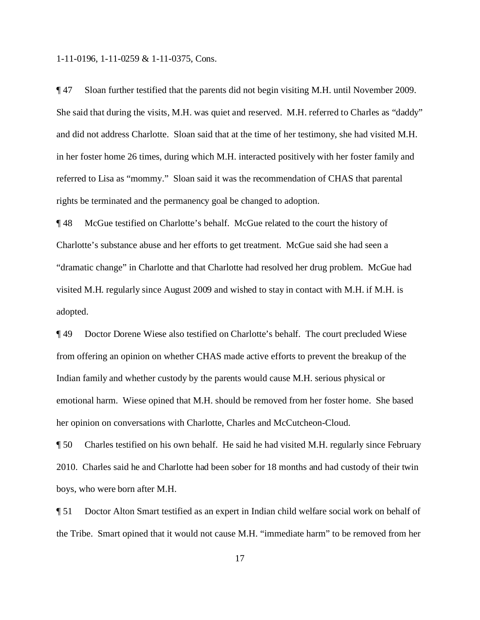¶ 47 Sloan further testified that the parents did not begin visiting M.H. until November 2009. She said that during the visits, M.H. was quiet and reserved. M.H. referred to Charles as "daddy" and did not address Charlotte. Sloan said that at the time of her testimony, she had visited M.H. in her foster home 26 times, during which M.H. interacted positively with her foster family and referred to Lisa as "mommy." Sloan said it was the recommendation of CHAS that parental rights be terminated and the permanency goal be changed to adoption.

¶ 48 McGue testified on Charlotte's behalf. McGue related to the court the history of Charlotte's substance abuse and her efforts to get treatment. McGue said she had seen a "dramatic change" in Charlotte and that Charlotte had resolved her drug problem. McGue had visited M.H. regularly since August 2009 and wished to stay in contact with M.H. if M.H. is adopted.

¶ 49 Doctor Dorene Wiese also testified on Charlotte's behalf. The court precluded Wiese from offering an opinion on whether CHAS made active efforts to prevent the breakup of the Indian family and whether custody by the parents would cause M.H. serious physical or emotional harm. Wiese opined that M.H. should be removed from her foster home. She based her opinion on conversations with Charlotte, Charles and McCutcheon-Cloud.

¶ 50 Charles testified on his own behalf. He said he had visited M.H. regularly since February 2010. Charles said he and Charlotte had been sober for 18 months and had custody of their twin boys, who were born after M.H.

¶ 51 Doctor Alton Smart testified as an expert in Indian child welfare social work on behalf of the Tribe. Smart opined that it would not cause M.H. "immediate harm" to be removed from her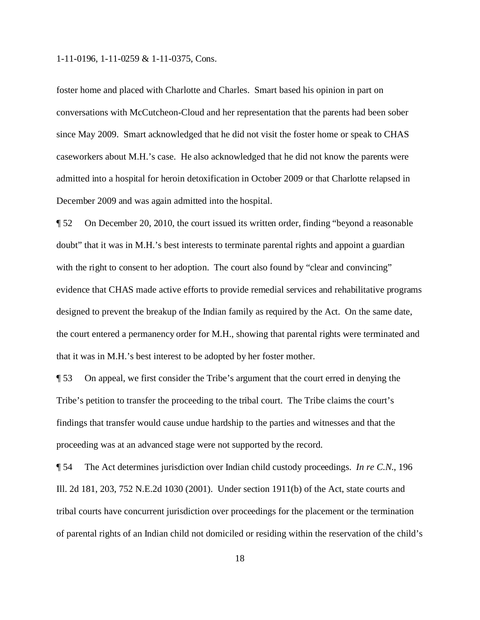foster home and placed with Charlotte and Charles. Smart based his opinion in part on conversations with McCutcheon-Cloud and her representation that the parents had been sober since May 2009. Smart acknowledged that he did not visit the foster home or speak to CHAS caseworkers about M.H.'s case. He also acknowledged that he did not know the parents were admitted into a hospital for heroin detoxification in October 2009 or that Charlotte relapsed in December 2009 and was again admitted into the hospital.

¶ 52 On December 20, 2010, the court issued its written order, finding "beyond a reasonable doubt" that it was in M.H.'s best interests to terminate parental rights and appoint a guardian with the right to consent to her adoption. The court also found by "clear and convincing" evidence that CHAS made active efforts to provide remedial services and rehabilitative programs designed to prevent the breakup of the Indian family as required by the Act. On the same date, the court entered a permanency order for M.H., showing that parental rights were terminated and that it was in M.H.'s best interest to be adopted by her foster mother.

¶ 53 On appeal, we first consider the Tribe's argument that the court erred in denying the Tribe's petition to transfer the proceeding to the tribal court. The Tribe claims the court's findings that transfer would cause undue hardship to the parties and witnesses and that the proceeding was at an advanced stage were not supported by the record.

¶ 54 The Act determines jurisdiction over Indian child custody proceedings. *In re C.N.*, 196 Ill. 2d 181, 203, 752 N.E.2d 1030 (2001). Under section 1911(b) of the Act, state courts and tribal courts have concurrent jurisdiction over proceedings for the placement or the termination of parental rights of an Indian child not domiciled or residing within the reservation of the child's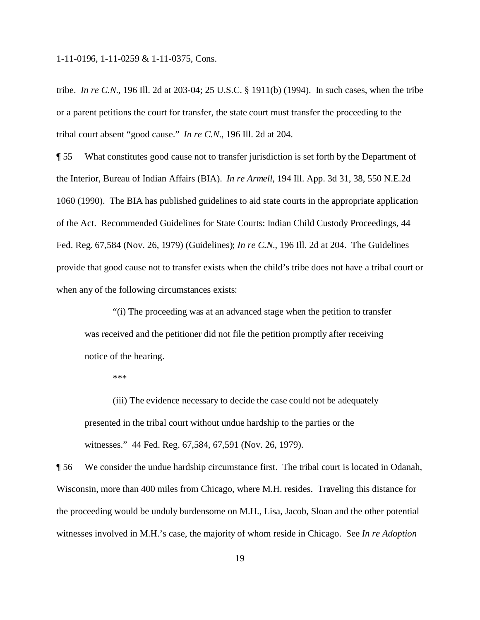tribe. *In re C.N.*, 196 Ill. 2d at 203-04; 25 U.S.C. § 1911(b) (1994). In such cases, when the tribe or a parent petitions the court for transfer, the state court must transfer the proceeding to the tribal court absent "good cause." *In re C.N.*, 196 Ill. 2d at 204.

¶ 55 What constitutes good cause not to transfer jurisdiction is set forth by the Department of the Interior, Bureau of Indian Affairs (BIA). *In re Armell*, 194 Ill. App. 3d 31, 38, 550 N.E.2d 1060 (1990). The BIA has published guidelines to aid state courts in the appropriate application of the Act. Recommended Guidelines for State Courts: Indian Child Custody Proceedings, 44 Fed. Reg. 67,584 (Nov. 26, 1979) (Guidelines); *In re C.N.*, 196 Ill. 2d at 204. The Guidelines provide that good cause not to transfer exists when the child's tribe does not have a tribal court or when any of the following circumstances exists:

"(i) The proceeding was at an advanced stage when the petition to transfer was received and the petitioner did not file the petition promptly after receiving notice of the hearing.

\*\*\*

(iii) The evidence necessary to decide the case could not be adequately presented in the tribal court without undue hardship to the parties or the witnesses." 44 Fed. Reg. 67,584, 67,591 (Nov. 26, 1979).

¶ 56 We consider the undue hardship circumstance first. The tribal court is located in Odanah, Wisconsin, more than 400 miles from Chicago, where M.H. resides. Traveling this distance for the proceeding would be unduly burdensome on M.H., Lisa, Jacob, Sloan and the other potential witnesses involved in M.H.'s case, the majority of whom reside in Chicago. See *In re Adoption*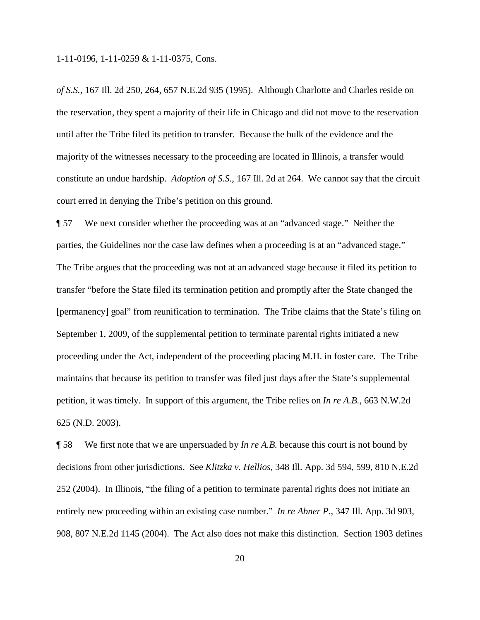*of S.S.*, 167 Ill. 2d 250, 264, 657 N.E.2d 935 (1995). Although Charlotte and Charles reside on the reservation, they spent a majority of their life in Chicago and did not move to the reservation until after the Tribe filed its petition to transfer. Because the bulk of the evidence and the majority of the witnesses necessary to the proceeding are located in Illinois, a transfer would constitute an undue hardship. *Adoption of S.S.*, 167 Ill. 2d at 264. We cannot say that the circuit court erred in denying the Tribe's petition on this ground.

¶ 57 We next consider whether the proceeding was at an "advanced stage." Neither the parties, the Guidelines nor the case law defines when a proceeding is at an "advanced stage." The Tribe argues that the proceeding was not at an advanced stage because it filed its petition to transfer "before the State filed its termination petition and promptly after the State changed the [permanency] goal" from reunification to termination. The Tribe claims that the State's filing on September 1, 2009, of the supplemental petition to terminate parental rights initiated a new proceeding under the Act, independent of the proceeding placing M.H. in foster care. The Tribe maintains that because its petition to transfer was filed just days after the State's supplemental petition, it was timely. In support of this argument, the Tribe relies on *In re A.B.*, 663 N.W.2d 625 (N.D. 2003).

¶ 58 We first note that we are unpersuaded by *In re A.B.* because this court is not bound by decisions from other jurisdictions. See *Klitzka v. Hellios*, 348 Ill. App. 3d 594, 599, 810 N.E.2d 252 (2004). In Illinois, "the filing of a petition to terminate parental rights does not initiate an entirely new proceeding within an existing case number." *In re Abner P.*, 347 Ill. App. 3d 903, 908, 807 N.E.2d 1145 (2004). The Act also does not make this distinction. Section 1903 defines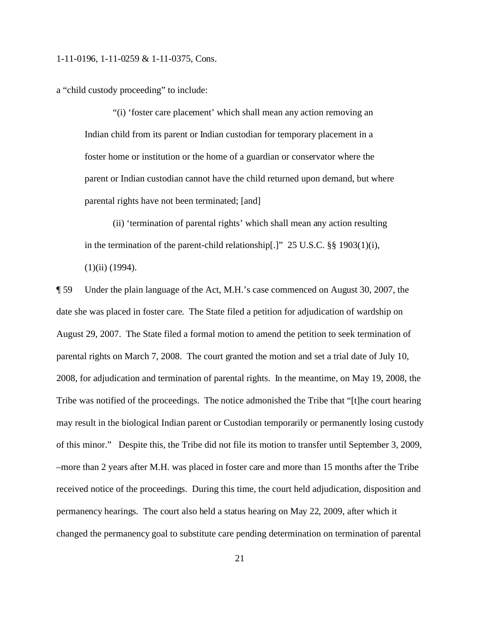a "child custody proceeding" to include:

"(i) 'foster care placement' which shall mean any action removing an Indian child from its parent or Indian custodian for temporary placement in a foster home or institution or the home of a guardian or conservator where the parent or Indian custodian cannot have the child returned upon demand, but where parental rights have not been terminated; [and]

(ii) 'termination of parental rights' which shall mean any action resulting in the termination of the parent-child relationship[.]" 25 U.S.C. §§ 1903(1)(i),  $(1)(ii)$  (1994).

¶ 59 Under the plain language of the Act, M.H.'s case commenced on August 30, 2007, the date she was placed in foster care. The State filed a petition for adjudication of wardship on August 29, 2007. The State filed a formal motion to amend the petition to seek termination of parental rights on March 7, 2008. The court granted the motion and set a trial date of July 10, 2008, for adjudication and termination of parental rights. In the meantime, on May 19, 2008, the Tribe was notified of the proceedings. The notice admonished the Tribe that "[t]he court hearing may result in the biological Indian parent or Custodian temporarily or permanently losing custody of this minor." Despite this, the Tribe did not file its motion to transfer until September 3, 2009, –more than 2 years after M.H. was placed in foster care and more than 15 months after the Tribe received notice of the proceedings. During this time, the court held adjudication, disposition and permanency hearings. The court also held a status hearing on May 22, 2009, after which it changed the permanency goal to substitute care pending determination on termination of parental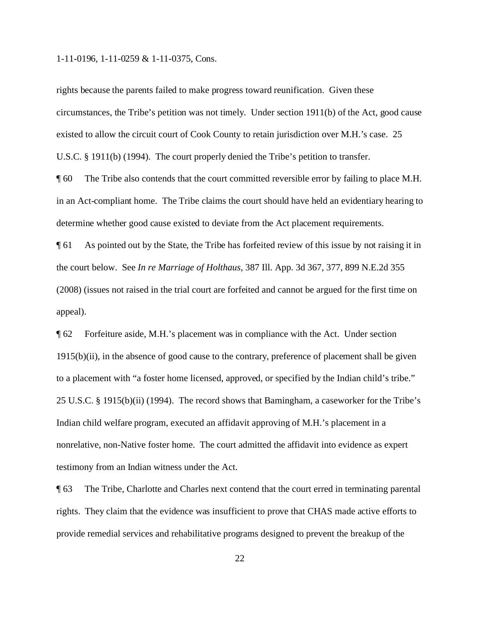rights because the parents failed to make progress toward reunification. Given these circumstances, the Tribe's petition was not timely. Under section 1911(b) of the Act, good cause existed to allow the circuit court of Cook County to retain jurisdiction over M.H.'s case. 25 U.S.C. § 1911(b) (1994). The court properly denied the Tribe's petition to transfer.

¶ 60 The Tribe also contends that the court committed reversible error by failing to place M.H. in an Act-compliant home. The Tribe claims the court should have held an evidentiary hearing to determine whether good cause existed to deviate from the Act placement requirements.

¶ 61 As pointed out by the State, the Tribe has forfeited review of this issue by not raising it in the court below. See *In re Marriage of Holthaus*, 387 Ill. App. 3d 367, 377, 899 N.E.2d 355 (2008) (issues not raised in the trial court are forfeited and cannot be argued for the first time on appeal).

¶ 62 Forfeiture aside, M.H.'s placement was in compliance with the Act. Under section 1915(b)(ii), in the absence of good cause to the contrary, preference of placement shall be given to a placement with "a foster home licensed, approved, or specified by the Indian child's tribe." 25 U.S.C. § 1915(b)(ii) (1994). The record shows that Barningham, a caseworker for the Tribe's Indian child welfare program, executed an affidavit approving of M.H.'s placement in a nonrelative, non-Native foster home. The court admitted the affidavit into evidence as expert testimony from an Indian witness under the Act.

¶ 63 The Tribe, Charlotte and Charles next contend that the court erred in terminating parental rights. They claim that the evidence was insufficient to prove that CHAS made active efforts to provide remedial services and rehabilitative programs designed to prevent the breakup of the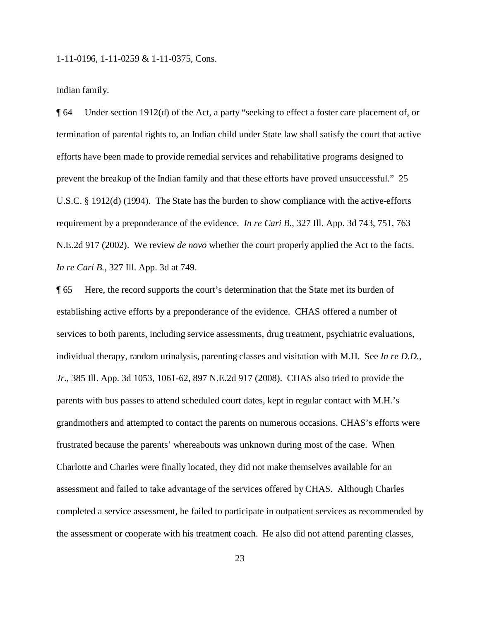Indian family.

¶ 64 Under section 1912(d) of the Act, a party "seeking to effect a foster care placement of, or termination of parental rights to, an Indian child under State law shall satisfy the court that active efforts have been made to provide remedial services and rehabilitative programs designed to prevent the breakup of the Indian family and that these efforts have proved unsuccessful." 25 U.S.C. § 1912(d) (1994). The State has the burden to show compliance with the active-efforts requirement by a preponderance of the evidence. *In re Cari B.*, 327 Ill. App. 3d 743, 751, 763 N.E.2d 917 (2002). We review *de novo* whether the court properly applied the Act to the facts. *In re Cari B.*, 327 Ill. App. 3d at 749.

¶ 65 Here, the record supports the court's determination that the State met its burden of establishing active efforts by a preponderance of the evidence. CHAS offered a number of services to both parents, including service assessments, drug treatment, psychiatric evaluations, individual therapy, random urinalysis, parenting classes and visitation with M.H. See *In re D.D., Jr.*, 385 Ill. App. 3d 1053, 1061-62, 897 N.E.2d 917 (2008). CHAS also tried to provide the parents with bus passes to attend scheduled court dates, kept in regular contact with M.H.'s grandmothers and attempted to contact the parents on numerous occasions. CHAS's efforts were frustrated because the parents' whereabouts was unknown during most of the case. When Charlotte and Charles were finally located, they did not make themselves available for an assessment and failed to take advantage of the services offered by CHAS. Although Charles completed a service assessment, he failed to participate in outpatient services as recommended by the assessment or cooperate with his treatment coach. He also did not attend parenting classes,